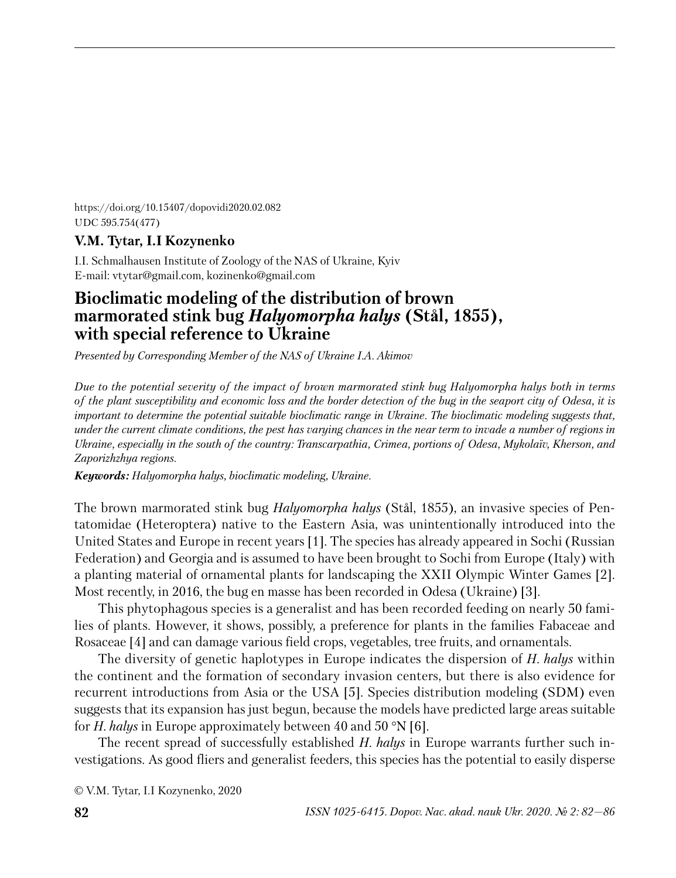https://doi.org/10.15407/dopovidi2020.02.082 UDC 595.754(477)

# **V.M. Tytar, I.I Kozynenko**

I.I. Schmalhausen Institute of Zoology of the NAS of Ukraine, Kyiv E-mail: vtytar@gmail.com, kozinenko@gmail.com

# **Bioclimatic modeling of the distribution of brown marmorated stink bug** *Halyomorpha halys* **(Stål, 1855), with special reference to Ukraine**

*Presented by Corresponding Member of the NAS of Ukraine I.A. Akimov*

*Due to the potential severity of the impact of brown marmorated stink bug Halyomorpha halys both in terms of the plant susceptibility and economic loss and the border detection of the bug in the seaport city of Odesa, it is important to determine the potential suitable bioclimatic range in Ukraine. The bioclimatic modeling suggests that, under the current climate conditions, the pest has varying chances in the near term to invade a number of regions in Ukraine, especially in the south of the country: Transcarpathia, Crimea, portions of Odesa, Mykolaїv, Kherson, and Zaporizhzhya regions.*

*Keywords: Halyomorpha halys, bioclimatic modeling, Ukraine.*

The brown marmorated stink bug *Halyomorpha halys* (Stål, 1855), an invasive species of Pentatomidae (Heteroptera) native to the Eastern Asia, was unintentionally introduced into the United States and Europe in recent years [1]. The species has already appeared in Sochi (Russian Federation) and Georgia and is assumed to have been brought to Sochi from Europe (Italy) with a planting material of ornamental plants for landscaping the XXII Olympic Winter Games [2]. Most recently, in 2016, the bug en masse has been recorded in Odesa (Ukraine) [3].

This phytophagous species is a generalist and has been recorded feeding on nearly 50 families of plants. However, it shows, possibly, a preference for plants in the families Fabaceae and Rosaceae [4] and can damage various field crops, vegetables, tree fruits, and ornamentals.

The diversity of genetic haplotypes in Europe indicates the dispersion of *H. halys* within the continent and the formation of secondary invasion centers, but there is also evidence for recurrent introductions from Asia or the USA [5]. Species distribution modeling (SDM) even suggests that its expansion has just begun, because the models have predicted large areas suitable for *H. halys* in Europe approximately between 40 and 50 °N [6].

The recent spread of successfully established *H. halys* in Europe warrants further such investigations. As good fliers and generalist feeders, this species has the potential to easily disperse

© V.M. Tytar, I.I Kozynenko, 2020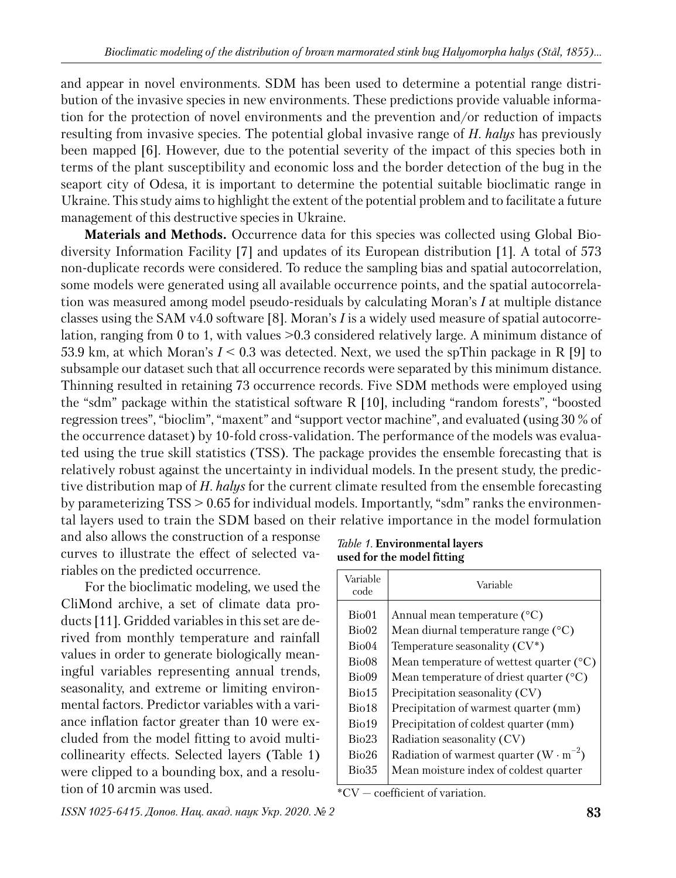and appear in novel environments. SDM has been used to determine a potential range distribution of the invasive species in new environments. These predictions provide valuable information for the protection of novel environments and the prevention and/or reduction of impacts resulting from invasive species. The potential global invasive range of *H. halys* has previously been mapped [6]. However, due to the potential severity of the impact of this species both in terms of the plant susceptibility and economic loss and the border detection of the bug in the seaport city of Odesa, it is important to determine the potential suitable bioclimatic range in Ukraine. This study aims to highlight the extent of the potential problem and to facilitate a future management of this destructive species in Ukraine.

**Materials and Methods.** Occurrence data for this species was collected using Global Biodiversity Information Facility [7] and updates of its European distribution [1]. A total of 573 non-duplicate records were considered. To reduce the sampling bias and spatial autocorrelation, some models were generated using all available occurrence points, and the spatial autocorrelation was measured among model pseudo-residuals by calculating Moran's *I* at multiple distance classes using the SAM v4.0 software [8]. Moran's *I* is a widely used measure of spatial autocorrelation, ranging from 0 to 1, with values >0.3 considered relatively large. A minimum distance of 53.9 km, at which Moran's *I* < 0.3 was detected. Next, we used the spThin package in R [9] to subsample our dataset such that all occurrence records were separated by this minimum distance. Thinning resulted in retaining 73 occurrence records. Five SDM methods were employed using the "sdm" package within the statistical software R [10], including "random forests", "boosted regression trees", "bioclim", "maxent" and "support vector machine", and evaluated (using 30 % of the occurrence dataset) by 10-fold cross-validation. The performance of the models was evaluated using the true skill statistics (TSS). The package provides the ensemble forecasting that is relatively robust against the uncertainty in individual models. In the present study, the predictive distribution map of *H. halys* for the current climate resulted from the ensemble forecasting by parameterizing TSS > 0.65 for individual models. Importantly, "sdm" ranks the environmental layers used to train the SDM based on their relative importance in the model formulation

and also allows the construction of a response curves to illustrate the effect of selected variables on the predicted occurrence.

For the bioclimatic modeling, we used the CliMond archive, a set of climate data products [11]. Gridded variables in this set are derived from monthly temperature and rainfall values in order to generate biologically meaningful variables representing annual trends, seasonality, and extreme or limiting environmental factors. Predictor variables with a variance inflation factor greater than 10 were excluded from the model fitting to avoid multicollinearity effects. Selected layers (Table 1) were clipped to a bounding box, and a resolution of 10 arcmin was used.

Bio02 | Mean diurnal temperature range  $(°C)$ 

Variable

| Bio04 | Temperature seasonality $(CV^*)$                |
|-------|-------------------------------------------------|
| Bio08 | Mean temperature of wettest quarter $(°C)$      |
| Bio09 | Mean temperature of driest quarter $(°C)$       |
| Bio15 | Precipitation seasonality (CV)                  |
| Bio18 | Precipitation of warmest quarter (mm)           |
| Bio19 | Precipitation of coldest quarter (mm)           |
| Bio23 | Radiation seasonality (CV)                      |
| Bio26 | Radiation of warmest quarter $(W \cdot m^{-2})$ |
| Bio35 | Mean moisture index of coldest quarter          |

Bio01 | Annual mean temperature  $(^{\circ}C)$ 

Variable

\*CV — coefficient of variation.

*Table 1.* **Environmental layers used for the model fitting**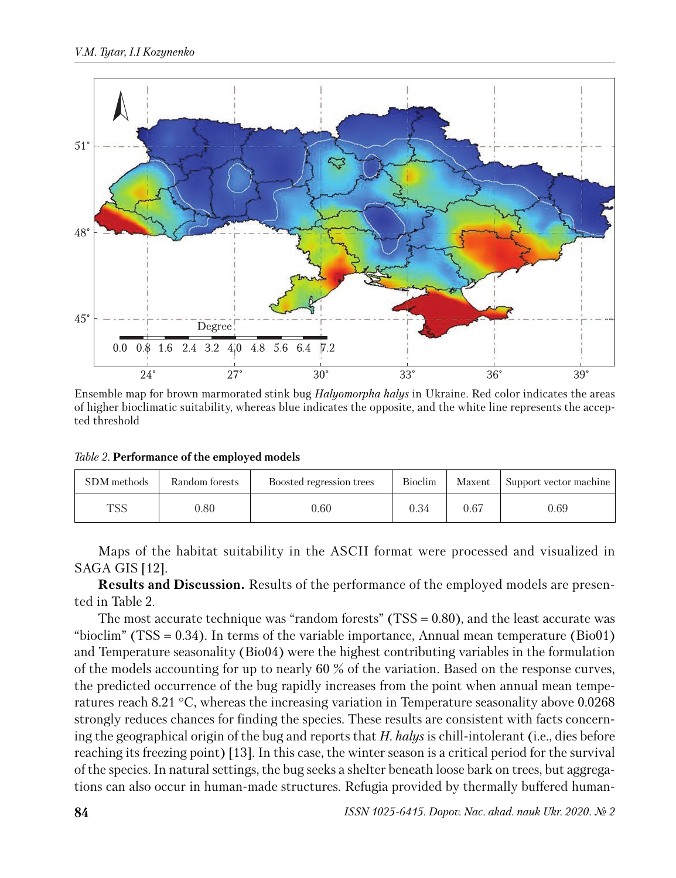

Ensemble map for brown marmorated stink bug *Halyomorpha halys* in Ukraine. Red color indicates the areas of higher bioclimatic suitability, whereas blue indicates the opposite, and the white line represents the accepted threshold

*Table 2.* **Performance of the employed models**

| SDM methods | Random forests | Boosted regression trees | <b>Bioclim</b> | Maxent | Support vector machine |
|-------------|----------------|--------------------------|----------------|--------|------------------------|
| TSS         | $0.80\,$       | $0.60\,$                 | 0.34           | 0.67   | 0.69                   |

Maps of the habitat suitability in the ASCII format were processed and visualized in SAGA GIS [12].

**Results and Discussion.** Results of the performance of the employed models are presented in Table 2.

The most accurate technique was "random forests" (TSS  $= 0.80$ ), and the least accurate was "bioclim" (TSS =  $0.34$ ). In terms of the variable importance, Annual mean temperature (Bio01) and Temperature seasonality (Bio04) were the highest contributing variables in the formulation of the models accounting for up to nearly 60 % of the variation. Based on the response curves, the predicted occurrence of the bug rapidly increases from the point when annual mean temperatures reach 8.21 °C, whereas the increasing variation in Temperature seasonality above 0.0268 strongly reduces chances for finding the species. These results are consistent with facts concerning the geographical origin of the bug and reports that *H. halys* is chill-intolerant (i.e., dies before reaching its freezing point) [13]. In this case, the winter season is a critical period for the survival of the species. In natural settings, the bug seeks a shelter beneath loose bark on trees, but aggregations can also occur in human-made structures. Refugia provided by thermally buffered human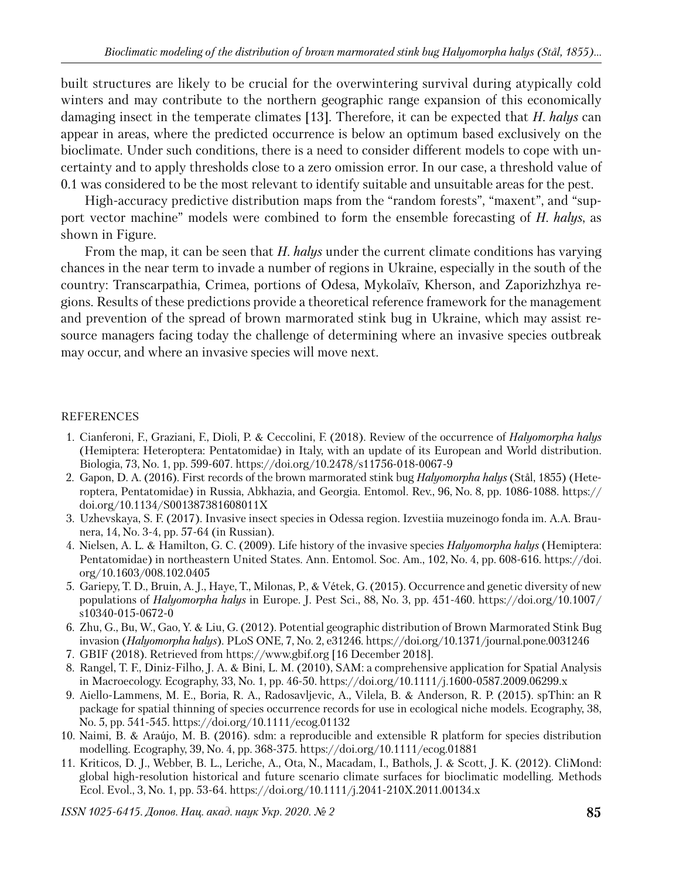built structures are likely to be crucial for the overwintering survival during atypically cold winters and may contribute to the northern geographic range expansion of this economically damaging insect in the temperate climates [13]. Therefore, it can be expected that *H. halys* can appear in areas, where the predicted occurrence is below an optimum based exclusively on the bioclimate. Under such conditions, there is a need to consider different models to cope with uncertainty and to apply thresholds close to a zero omission error. In our case, a threshold value of 0.1 was considered to be the most relevant to identify suitable and unsuitable areas for the pest.

High-accuracy predictive distribution maps from the "random forests", "maxent", and "support vector machine" models were combined to form the ensemble forecasting of *H. halys*, as shown in Figure.

From the map, it can be seen that *H. halys* under the current climate conditions has varying chances in the near term to invade a number of regions in Ukraine, especially in the south of the country: Transcarpathia, Crimea, portions of Odesa, Mykolaїv, Kherson, and Zaporizhzhya regions. Results of these predictions provide a theoretical reference framework for the management and prevention of the spread of brown marmorated stink bug in Ukraine, which may assist resource managers facing today the challenge of determining where an invasive species outbreak may occur, and where an invasive species will move next.

## REFERENCES

- 1. Cianferoni, F., Graziani, F., Dioli, P. & Ceccolini, F. (2018). Review of the occurrence of *Halyomorpha halys* (Hemiptera: Heteroptera: Pentatomidae) in Italy, with an update of its European and World distribution. Biologia, 73, No. 1, pp. 599-607. https://doi.org/10.2478/s11756-018-0067-9
- 2. Gapon, D. A. (2016). First records of the brown marmorated stink bug *Halyomorpha halys* (Stål, 1855) (Heteroptera, Pentatomidae) in Russia, Abkhazia, and Georgia. Entomol. Rev., 96, No. 8, pp. 1086-1088. https:// doi.org/10.1134/S001387381608011X
- 3. Uzhevskaya, S. F. (2017). Invasive insect species in Odessa region. Izvestiia muzeinogo fonda im. A.A. Braunera, 14, No. 3-4, pp. 57-64 (in Russian).
- 4. Nielsen, A. L. & Hamilton, G. C. (2009). Life history of the invasive species *Halyomorpha halys* (Hemiptera: Pentatomidae) in northeastern United States. Ann. Entomol. Soc. Am., 102, No. 4, pp. 608-616. https://doi. org/10.1603/008.102.0405
- 5. Gariepy, T. D., Bruin, A. J., Haye, T., Milonas, P., & Vétek, G. (2015). Occurrence and genetic diversity of new populations of *Halyomorpha halys* in Europe. J. Pest Sci., 88, No. 3, pp. 451-460. https://doi.org/10.1007/ s10340-015-0672-0
- 6. Zhu, G., Bu, W., Gao, Y. & Liu, G. (2012). Potential geographic distribution of Brown Marmorated Stink Bug invasion (*Halyomorpha halys*). PLoS ONE, 7, No. 2, e31246. https://doi.org/10.1371/journal.pone.0031246
- 7. GBIF (2018). Retrieved from https://www.gbif.org [16 December 2018].
- 8. Rangel, T. F., Diniz-Filho, J. A. & Bini, L. M. (2010), SAM: a comprehensive application for Spatial Analysis in Macroecology. Ecography, 33, No. 1, pp. 46-50. https://doi.org/10.1111/j.1600-0587.2009.06299.x
- 9. Aiello-Lammens, M. E., Boria, R. A., Radosavljevic, A., Vilela, B. & Anderson, R. P. (2015). spThin: an R package for spatial thinning of species occurrence records for use in ecological niche models. Ecography, 38, No. 5, pp. 541-545. https://doi.org/10.1111/ecog.01132
- 10. Naimi, B. & Araújo, M. B. (2016). sdm: a reproducible and extensible R platform for species distribution modelling. Ecography, 39, No. 4, pp. 368-375. https://doi.org/10.1111/ecog.01881
- 11. Kriticos, D. J., Webber, B. L., Leriche, A., Ota, N., Macadam, I., Bathols, J. & Scott, J. K. (2012). CliMond: global high-resolution historical and future scenario climate surfaces for bioclimatic modelling. Methods Ecol. Evol., 3, No. 1, pp. 53-64. https://doi.org/10.1111/j.2041-210X.2011.00134.x

*ISSN 1025-6415. Допов. Нац. акад. наук Укр. 2020. № 2* **85**